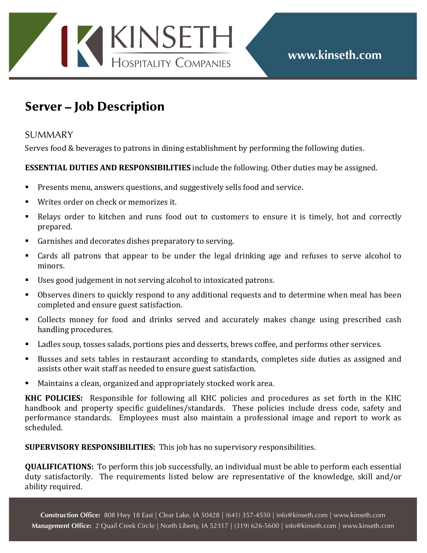## KINSETH

## Server – Job Description

## **SUMMARY**

Serves food & beverages to patrons in dining establishment by performing the following duties.

## **ESSENTIAL DUTIES AND RESPONSIBILITIES** include the following. Other duties may be assigned.

- Presents menu, answers questions, and suggestively sells food and service.
- Writes order on check or memorizes it.
- Relays order to kitchen and runs food out to customers to ensure it is timely, hot and correctly prepared.
- Garnishes and decorates dishes preparatory to serving.
- Cards all patrons that appear to be under the legal drinking age and refuses to serve alcohol to minors.
- Uses good judgement in not serving alcohol to intoxicated patrons.
- Observes diners to quickly respond to any additional requests and to determine when meal has been completed and ensure guest satisfaction.
- Collects money for food and drinks served and accurately makes change using prescribed cash handling procedures.
- Ladles soup, tosses salads, portions pies and desserts, brews coffee, and performs other services.
- Busses and sets tables in restaurant according to standards, completes side duties as assigned and assists other wait staff as needed to ensure guest satisfaction.
- Maintains a clean, organized and appropriately stocked work area.

**KHC POLICIES:** Responsible for following all KHC policies and procedures as set forth in the KHC handbook and property specific guidelines/standards. These policies include dress code, safety and performance standards. Employees must also maintain a professional image and report to work as scheduled.

**SUPERVISORY RESPONSIBILITIES:** This job has no supervisory responsibilities.

**QUALIFICATIONS:** To perform this job successfully, an individual must be able to perform each essential duty satisfactorily. The requirements listed below are representative of the knowledge, skill and/or ability required.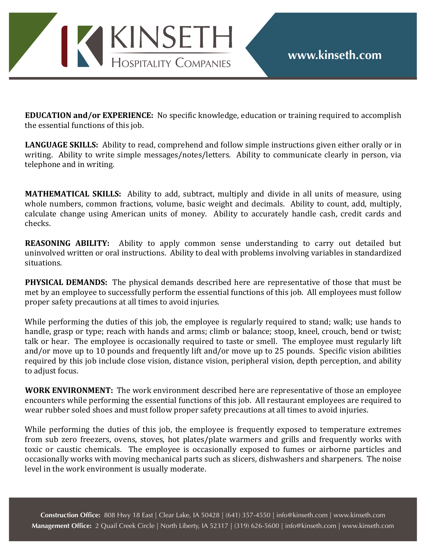

**EDUCATION** and/or **EXPERIENCE:** No specific knowledge, education or training required to accomplish the essential functions of this job.

**LANGUAGE SKILLS:** Ability to read, comprehend and follow simple instructions given either orally or in writing. Ability to write simple messages/notes/letters. Ability to communicate clearly in person, via telephone and in writing.

**MATHEMATICAL SKILLS:** Ability to add, subtract, multiply and divide in all units of measure, using whole numbers, common fractions, volume, basic weight and decimals. Ability to count, add, multiply, calculate change using American units of money. Ability to accurately handle cash, credit cards and checks.

**REASONING ABILITY:** Ability to apply common sense understanding to carry out detailed but uninvolved written or oral instructions. Ability to deal with problems involving variables in standardized situations.

**PHYSICAL DEMANDS:** The physical demands described here are representative of those that must be met by an employee to successfully perform the essential functions of this job. All employees must follow proper safety precautions at all times to avoid injuries.

While performing the duties of this job, the employee is regularly required to stand; walk; use hands to handle, grasp or type; reach with hands and arms; climb or balance; stoop, kneel, crouch, bend or twist; talk or hear. The employee is occasionally required to taste or smell. The employee must regularly lift and/or move up to 10 pounds and frequently lift and/or move up to 25 pounds. Specific vision abilities required by this job include close vision, distance vision, peripheral vision, depth perception, and ability to adjust focus.

**WORK ENVIRONMENT:** The work environment described here are representative of those an employee encounters while performing the essential functions of this job. All restaurant employees are required to wear rubber soled shoes and must follow proper safety precautions at all times to avoid injuries.

While performing the duties of this job, the employee is frequently exposed to temperature extremes from sub zero freezers, ovens, stoves, hot plates/plate warmers and grills and frequently works with toxic or caustic chemicals. The employee is occasionally exposed to fumes or airborne particles and occasionally works with moving mechanical parts such as slicers, dishwashers and sharpeners. The noise level in the work environment is usually moderate.

**Construction Offce:** 808 Hwy 18 East | Clear Lake, IA 50428 | (641) 357-4550 | info@kinseth.com | www.kinseth.com **Management Offce:** 2 Quail Creek Circle | North Liberty, IA 52317 | (319) 626-5600 | info@kinseth.com | www.kinseth.com